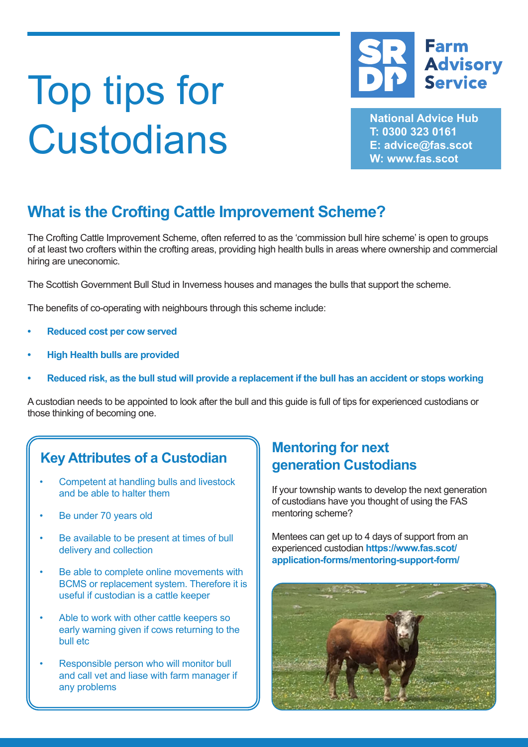## **Farm Advisory Service**

**National Advice Hub T: 0300 323 0161 E: advice@fas.scot W: www.fas.scot**

# Top tips for **Custodians**

## **What is the Crofting Cattle Improvement Scheme?**

The Crofting Cattle Improvement Scheme, often referred to as the 'commission bull hire scheme' is open to groups of at least two crofters within the crofting areas, providing high health bulls in areas where ownership and commercial hiring are uneconomic.

The Scottish Government Bull Stud in Inverness houses and manages the bulls that support the scheme.

The benefits of co-operating with neighbours through this scheme include:

- **• Reduced cost per cow served**
- **• High Health bulls are provided**
- **• Reduced risk, as the bull stud will provide a replacement if the bull has an accident or stops working**

A custodian needs to be appointed to look after the bull and this guide is full of tips for experienced custodians or those thinking of becoming one.

## **Key Attributes of a Custodian | Mentoring for next <br>
<b>Key Attributes of a Custodian** | **Mentorian Custod**

- Competent at handling bulls and livestock and be able to halter them
- Be under 70 years old
- Be available to be present at times of bull delivery and collection
- Be able to complete online movements with BCMS or replacement system. Therefore it is useful if custodian is a cattle keeper
- Able to work with other cattle keepers so early warning given if cows returning to the bull etc
- Responsible person who will monitor bull and call vet and liase with farm manager if any problems

## **generation Custodians**

If your township wants to develop the next generation of custodians have you thought of using the FAS mentoring scheme?

Mentees can get up to 4 days of support from an experienced custodian **https://www.fas.scot/ application-forms/mentoring-support-form/**